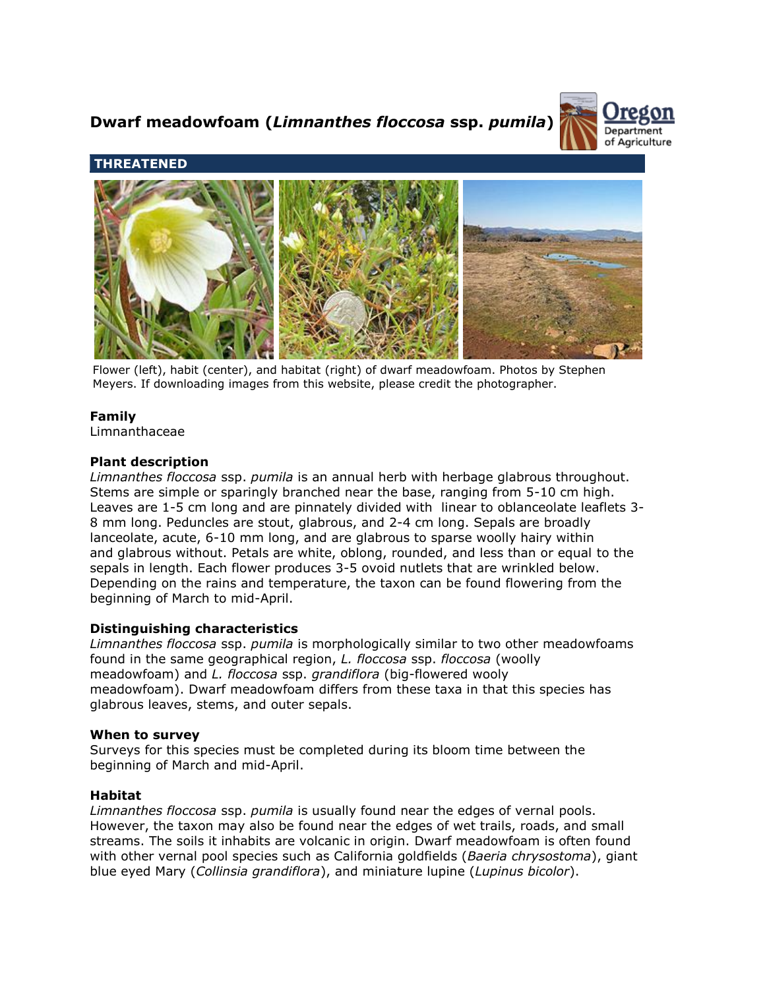# **Dwarf meadowfoam (***Limnanthes floccosa* **ssp.** *pumila***)**



# **THREATENED**



Flower (left), habit (center), and habitat (right) of dwarf meadowfoam. Photos by Stephen Meyers. If downloading images from this website, please credit the photographer.

## **Family**

Limnanthaceae

## **Plant description**

*Limnanthes floccosa* ssp. *pumila* is an annual herb with herbage glabrous throughout. Stems are simple or sparingly branched near the base, ranging from 5-10 cm high. Leaves are 1-5 cm long and are pinnately divided with linear to oblanceolate leaflets 3- 8 mm long. Peduncles are stout, glabrous, and 2-4 cm long. Sepals are broadly lanceolate, acute, 6-10 mm long, and are glabrous to sparse woolly hairy within and glabrous without. Petals are white, oblong, rounded, and less than or equal to the sepals in length. Each flower produces 3-5 ovoid nutlets that are wrinkled below. Depending on the rains and temperature, the taxon can be found flowering from the beginning of March to mid-April.

## **Distinguishing characteristics**

*Limnanthes floccosa* ssp. *pumila* is morphologically similar to two other meadowfoams found in the same geographical region, *L. floccosa* ssp. *floccosa* (woolly meadowfoam) and *L. floccosa* ssp. *grandiflora* (big-flowered wooly meadowfoam). Dwarf meadowfoam differs from these taxa in that this species has glabrous leaves, stems, and outer sepals.

#### **When to survey**

Surveys for this species must be completed during its bloom time between the beginning of March and mid-April.

## **Habitat**

*Limnanthes floccosa* ssp. *pumila* is usually found near the edges of vernal pools. However, the taxon may also be found near the edges of wet trails, roads, and small streams. The soils it inhabits are volcanic in origin. Dwarf meadowfoam is often found with other vernal pool species such as California goldfields (*Baeria chrysostoma*), giant blue eyed Mary (*Collinsia grandiflora*), and miniature lupine (*Lupinus bicolor*).